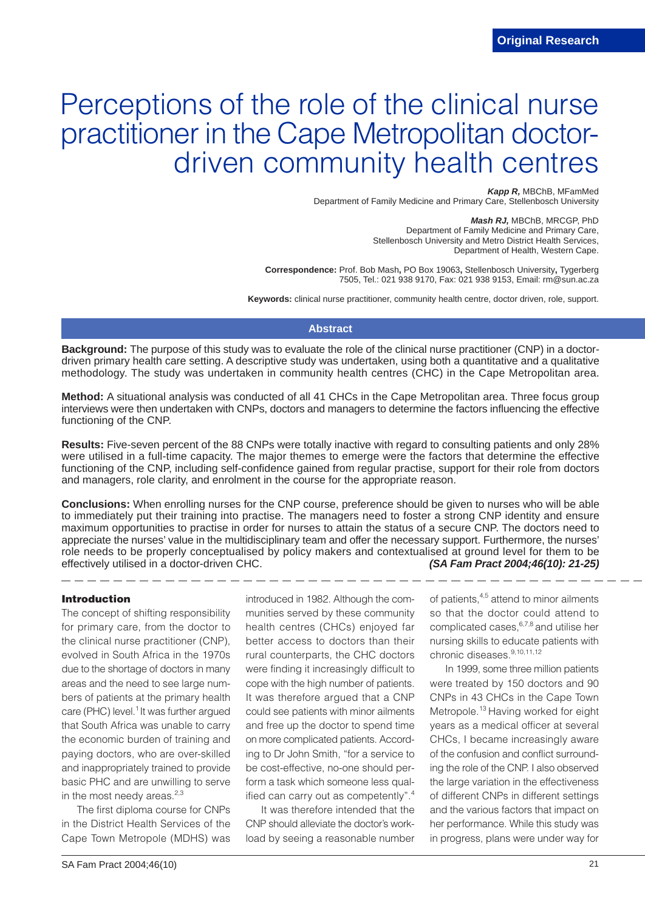# Perceptions of the role of the clinical nurse practitioner in the Cape Metropolitan doctordriven community health centres

**Kapp R,** MBChB, MFamMed Department of Family Medicine and Primary Care, Stellenbosch University

> **Mash RJ,** MBChB, MRCGP, PhD Department of Family Medicine and Primary Care, Stellenbosch University and Metro District Health Services, Department of Health, Western Cape.

**Correspondence:** Prof. Bob Mash**,** PO Box 19063**,** Stellenbosch University**,** Tygerberg 7505, Tel.: 021 938 9170, Fax: 021 938 9153, Email: rm@sun.ac.za

**Keywords:** clinical nurse practitioner, community health centre, doctor driven, role, support.

# **Abstract**

**Background:** The purpose of this study was to evaluate the role of the clinical nurse practitioner (CNP) in a doctordriven primary health care setting. A descriptive study was undertaken, using both a quantitative and a qualitative methodology. The study was undertaken in community health centres (CHC) in the Cape Metropolitan area.

**Method:** A situational analysis was conducted of all 41 CHCs in the Cape Metropolitan area. Three focus group interviews were then undertaken with CNPs, doctors and managers to determine the factors influencing the effective functioning of the CNP.

**Results:** Five-seven percent of the 88 CNPs were totally inactive with regard to consulting patients and only 28% were utilised in a full-time capacity. The major themes to emerge were the factors that determine the effective functioning of the CNP, including self-confidence gained from regular practise, support for their role from doctors and managers, role clarity, and enrolment in the course for the appropriate reason.

**Conclusions:** When enrolling nurses for the CNP course, preference should be given to nurses who will be able to immediately put their training into practise. The managers need to foster a strong CNP identity and ensure maximum opportunities to practise in order for nurses to attain the status of a secure CNP. The doctors need to appreciate the nurses' value in the multidisciplinary team and offer the necessary support. Furthermore, the nurses' role needs to be properly conceptualised by policy makers and contextualised at ground level for them to be effectively utilised in a doctor-driven CHC. **(SA Fam Pract 2004;46(10): 21-25)**

# Introduction

The concept of shifting responsibility for primary care, from the doctor to the clinical nurse practitioner (CNP), evolved in South Africa in the 1970s due to the shortage of doctors in many areas and the need to see large numbers of patients at the primary health care (PHC) level. $1$  It was further argued that South Africa was unable to carry the economic burden of training and paying doctors, who are over-skilled and inappropriately trained to provide basic PHC and are unwilling to serve in the most needy areas.<sup>2,3</sup>

The first diploma course for CNPs in the District Health Services of the Cape Town Metropole (MDHS) was introduced in 1982. Although the communities served by these community health centres (CHCs) enjoyed far better access to doctors than their rural counterparts, the CHC doctors were finding it increasingly difficult to cope with the high number of patients. It was therefore argued that a CNP could see patients with minor ailments and free up the doctor to spend time on more complicated patients. According to Dr John Smith, "for a service to be cost-effective, no-one should perform a task which someone less qualified can carry out as competently".<sup>4</sup>

It was therefore intended that the CNP should alleviate the doctor's workload by seeing a reasonable number

of patients,<sup>4,5</sup> attend to minor ailments so that the doctor could attend to complicated cases,  $6,7,8$  and utilise her nursing skills to educate patients with chronic diseases.<sup>9,10,11,12</sup>

In 1999, some three million patients were treated by 150 doctors and 90 CNPs in 43 CHCs in the Cape Town Metropole.<sup>13</sup> Having worked for eight years as a medical officer at several CHCs, I became increasingly aware of the confusion and conflict surrounding the role of the CNP. I also observed the large variation in the effectiveness of different CNPs in different settings and the various factors that impact on her performance. While this study was in progress, plans were under way for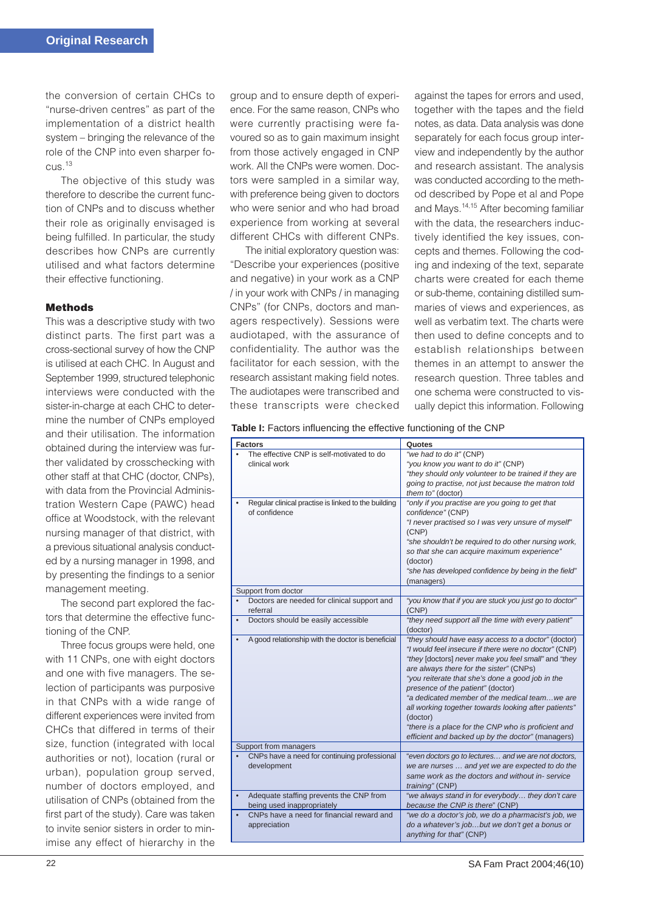the conversion of certain CHCs to "nurse-driven centres" as part of the implementation of a district health system – bringing the relevance of the role of the CNP into even sharper focus.<sup>13</sup>

The objective of this study was therefore to describe the current function of CNPs and to discuss whether their role as originally envisaged is being fulfilled. In particular, the study describes how CNPs are currently utilised and what factors determine their effective functioning.

## Methods

This was a descriptive study with two distinct parts. The first part was a cross-sectional survey of how the CNP is utilised at each CHC. In August and September 1999, structured telephonic interviews were conducted with the sister-in-charge at each CHC to determine the number of CNPs employed and their utilisation. The information obtained during the interview was further validated by crosschecking with other staff at that CHC (doctor, CNPs), with data from the Provincial Administration Western Cape (PAWC) head office at Woodstock, with the relevant nursing manager of that district, with a previous situational analysis conducted by a nursing manager in 1998, and by presenting the findings to a senior management meeting.

The second part explored the factors that determine the effective functioning of the CNP.

Three focus groups were held, one with 11 CNPs, one with eight doctors and one with five managers. The selection of participants was purposive in that CNPs with a wide range of different experiences were invited from CHCs that differed in terms of their size, function (integrated with local authorities or not), location (rural or urban), population group served, number of doctors employed, and utilisation of CNPs (obtained from the first part of the study). Care was taken to invite senior sisters in order to minimise any effect of hierarchy in the

group and to ensure depth of experience. For the same reason, CNPs who were currently practising were favoured so as to gain maximum insight from those actively engaged in CNP work. All the CNPs were women. Doctors were sampled in a similar way, with preference being given to doctors who were senior and who had broad experience from working at several different CHCs with different CNPs.

The initial exploratory question was: "Describe your experiences (positive and negative) in your work as a CNP / in your work with CNPs / in managing CNPs" (for CNPs, doctors and managers respectively). Sessions were audiotaped, with the assurance of confidentiality. The author was the facilitator for each session, with the research assistant making field notes. The audiotapes were transcribed and these transcripts were checked against the tapes for errors and used, together with the tapes and the field notes, as data. Data analysis was done separately for each focus group interview and independently by the author and research assistant. The analysis was conducted according to the method described by Pope et al and Pope and Mays.<sup>14,15</sup> After becoming familiar with the data, the researchers inductively identified the key issues, concepts and themes. Following the coding and indexing of the text, separate charts were created for each theme or sub-theme, containing distilled summaries of views and experiences, as well as verbatim text. The charts were then used to define concepts and to establish relationships between themes in an attempt to answer the research question. Three tables and one schema were constructed to visually depict this information. Following

| <b>Factors</b>                                                                     | Quotes                                                                                                                                                                                                                                                                                                                                                                                                                                                                                                                                    |
|------------------------------------------------------------------------------------|-------------------------------------------------------------------------------------------------------------------------------------------------------------------------------------------------------------------------------------------------------------------------------------------------------------------------------------------------------------------------------------------------------------------------------------------------------------------------------------------------------------------------------------------|
| The effective CNP is self-motivated to do<br>clinical work                         | "we had to do it" (CNP)<br>"you know you want to do it" (CNP)<br>"they should only volunteer to be trained if they are<br>going to practise, not just because the matron told<br>them to" (doctor)                                                                                                                                                                                                                                                                                                                                        |
| Regular clinical practise is linked to the building<br>of confidence               | "only if you practise are you going to get that<br>confidence" (CNP)<br>"I never practised so I was very unsure of myself"<br>(CNP)<br>"she shouldn't be required to do other nursing work,<br>so that she can acquire maximum experience"<br>(doctor)<br>"she has developed confidence by being in the field"<br>(managers)                                                                                                                                                                                                              |
| Support from doctor                                                                |                                                                                                                                                                                                                                                                                                                                                                                                                                                                                                                                           |
| Doctors are needed for clinical support and<br>referral                            | "you know that if you are stuck you just go to doctor"<br>(CNP)                                                                                                                                                                                                                                                                                                                                                                                                                                                                           |
| Doctors should be easily accessible                                                | "they need support all the time with every patient"<br>(doctor)                                                                                                                                                                                                                                                                                                                                                                                                                                                                           |
| A good relationship with the doctor is beneficial                                  | "they should have easy access to a doctor" (doctor)<br>"I would feel insecure if there were no doctor" (CNP)<br>"they [doctors] never make you feel small" and "they<br>are always there for the sister" (CNPs)<br>"you reiterate that she's done a good job in the<br>presence of the patient" (doctor)<br>"a dedicated member of the medical teamwe are<br>all working together towards looking after patients"<br>(doctor)<br>"there is a place for the CNP who is proficient and<br>efficient and backed up by the doctor" (managers) |
| Support from managers                                                              |                                                                                                                                                                                                                                                                                                                                                                                                                                                                                                                                           |
| CNPs have a need for continuing professional<br>development                        | "even doctors go to lectures and we are not doctors,<br>we are nurses  and yet we are expected to do the<br>same work as the doctors and without in-service<br>training" (CNP)                                                                                                                                                                                                                                                                                                                                                            |
| Adequate staffing prevents the CNP from<br>$\bullet$<br>being used inappropriately | "we always stand in for everybody they don't care<br>because the CNP is there" (CNP)                                                                                                                                                                                                                                                                                                                                                                                                                                                      |
| CNPs have a need for financial reward and<br>appreciation                          | "we do a doctor's job, we do a pharmacist's job, we<br>do a whatever's jobbut we don't get a bonus or<br>anything for that" (CNP)                                                                                                                                                                                                                                                                                                                                                                                                         |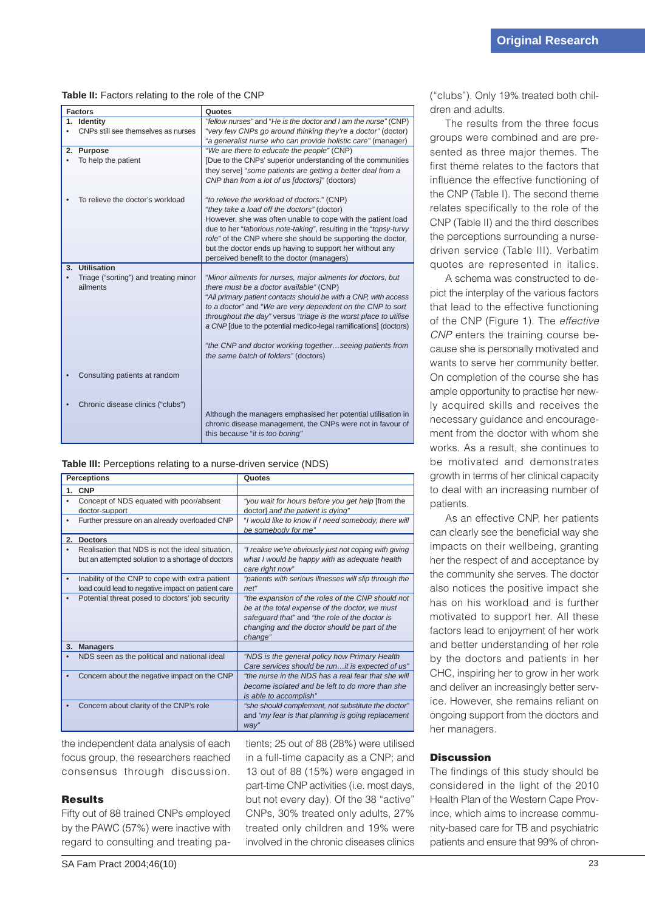## Table II: Factors relating to the role of the CNP

| <b>Factors</b> |                                                   | Quotes                                                                                                                                                                                                                                                                                                                                                                                                                                                                               |  |
|----------------|---------------------------------------------------|--------------------------------------------------------------------------------------------------------------------------------------------------------------------------------------------------------------------------------------------------------------------------------------------------------------------------------------------------------------------------------------------------------------------------------------------------------------------------------------|--|
|                | 1. Identity                                       | "fellow nurses" and "He is the doctor and I am the nurse" (CNP)                                                                                                                                                                                                                                                                                                                                                                                                                      |  |
|                | CNPs still see themselves as nurses               | "very few CNPs go around thinking they're a doctor" (doctor)<br>"a generalist nurse who can provide holistic care" (manager)                                                                                                                                                                                                                                                                                                                                                         |  |
| 2.             | Purpose                                           | "We are there to educate the people" (CNP)                                                                                                                                                                                                                                                                                                                                                                                                                                           |  |
|                | To help the patient                               | [Due to the CNPs' superior understanding of the communities<br>they servel "some patients are getting a better deal from a<br>CNP than from a lot of us [doctors]" (doctors)                                                                                                                                                                                                                                                                                                         |  |
|                | To relieve the doctor's workload                  | "to relieve the workload of doctors." (CNP)<br>"they take a load off the doctors" (doctor)<br>However, she was often unable to cope with the patient load<br>due to her "laborious note-taking", resulting in the "topsy-turvy<br>role" of the CNP where she should be supporting the doctor,<br>but the doctor ends up having to support her without any<br>perceived benefit to the doctor (managers)                                                                              |  |
| 3.             | <b>Utilisation</b>                                |                                                                                                                                                                                                                                                                                                                                                                                                                                                                                      |  |
|                | Triage ("sorting") and treating minor<br>ailments | "Minor ailments for nurses, major ailments for doctors, but<br>there must be a doctor available" (CNP)<br>"All primary patient contacts should be with a CNP, with access<br>to a doctor" and "We are very dependent on the CNP to sort<br>throughout the day" versus "triage is the worst place to utilise<br>a CNP [due to the potential medico-legal ramifications] (doctors)<br>"the CNP and doctor working togetherseeing patients from<br>the same batch of folders" (doctors) |  |
|                | Consulting patients at random                     |                                                                                                                                                                                                                                                                                                                                                                                                                                                                                      |  |
|                | Chronic disease clinics ("clubs")                 | Although the managers emphasised her potential utilisation in<br>chronic disease management, the CNPs were not in favour of<br>this because "it is too boring"                                                                                                                                                                                                                                                                                                                       |  |

| Table III: Perceptions relating to a nurse-driven service (NDS) |  |  |  |  |  |
|-----------------------------------------------------------------|--|--|--|--|--|
|-----------------------------------------------------------------|--|--|--|--|--|

|    | <b>Perceptions</b>                                                                                     | Quotes                                                                                                                                                                                                            |  |
|----|--------------------------------------------------------------------------------------------------------|-------------------------------------------------------------------------------------------------------------------------------------------------------------------------------------------------------------------|--|
|    | 1. CNP                                                                                                 |                                                                                                                                                                                                                   |  |
|    | Concept of NDS equated with poor/absent<br>doctor-support                                              | "you wait for hours before you get help [from the<br>doctor] and the patient is dying"                                                                                                                            |  |
|    | Further pressure on an already overloaded CNP                                                          | "I would like to know if I need somebody, there will<br>be somebody for me"                                                                                                                                       |  |
| 2. | <b>Doctors</b>                                                                                         |                                                                                                                                                                                                                   |  |
|    | Realisation that NDS is not the ideal situation,<br>but an attempted solution to a shortage of doctors | "I realise we're obviously just not coping with giving<br>what I would be happy with as adequate health<br>care right now"                                                                                        |  |
|    | Inability of the CNP to cope with extra patient<br>load could lead to negative impact on patient care  | "patients with serious illnesses will slip through the<br>net"                                                                                                                                                    |  |
|    | Potential threat posed to doctors' job security                                                        | "the expansion of the roles of the CNP should not<br>be at the total expense of the doctor, we must<br>safequard that" and "the role of the doctor is<br>changing and the doctor should be part of the<br>change" |  |
| 3. | <b>Managers</b>                                                                                        |                                                                                                                                                                                                                   |  |
|    | NDS seen as the political and national ideal                                                           | "NDS is the general policy how Primary Health<br>Care services should be runit is expected of us"                                                                                                                 |  |
|    | Concern about the negative impact on the CNP                                                           | "the nurse in the NDS has a real fear that she will<br>become isolated and be left to do more than she<br>is able to accomplish"                                                                                  |  |
|    | Concern about clarity of the CNP's role                                                                | "she should complement, not substitute the doctor"<br>and "my fear is that planning is going replacement<br>way"                                                                                                  |  |

the independent data analysis of each focus group, the researchers reached consensus through discussion.

# **Results**

Fifty out of 88 trained CNPs employed by the PAWC (57%) were inactive with regard to consulting and treating patients; 25 out of 88 (28%) were utilised in a full-time capacity as a CNP; and 13 out of 88 (15%) were engaged in part-time CNP activities (i.e. most days, but not every day). Of the 38 "active" CNPs, 30% treated only adults, 27% treated only children and 19% were involved in the chronic diseases clinics

("clubs"). Only 19% treated both children and adults.

The results from the three focus groups were combined and are presented as three major themes. The first theme relates to the factors that influence the effective functioning of the CNP (Table I). The second theme relates specifically to the role of the CNP (Table II) and the third describes the perceptions surrounding a nursedriven service (Table III). Verbatim quotes are represented in italics.

A schema was constructed to depict the interplay of the various factors that lead to the effective functioning of the CNP (Figure 1). The *effective CNP* enters the training course because she is personally motivated and wants to serve her community better. On completion of the course she has ample opportunity to practise her newly acquired skills and receives the necessary guidance and encouragement from the doctor with whom she works. As a result, she continues to be motivated and demonstrates growth in terms of her clinical capacity to deal with an increasing number of patients.

As an effective CNP, her patients can clearly see the beneficial way she impacts on their wellbeing, granting her the respect of and acceptance by the community she serves. The doctor also notices the positive impact she has on his workload and is further motivated to support her. All these factors lead to enjoyment of her work and better understanding of her role by the doctors and patients in her CHC, inspiring her to grow in her work and deliver an increasingly better service. However, she remains reliant on ongoing support from the doctors and her managers.

# **Discussion**

The findings of this study should be considered in the light of the 2010 Health Plan of the Western Cape Province, which aims to increase community-based care for TB and psychiatric patients and ensure that 99% of chron-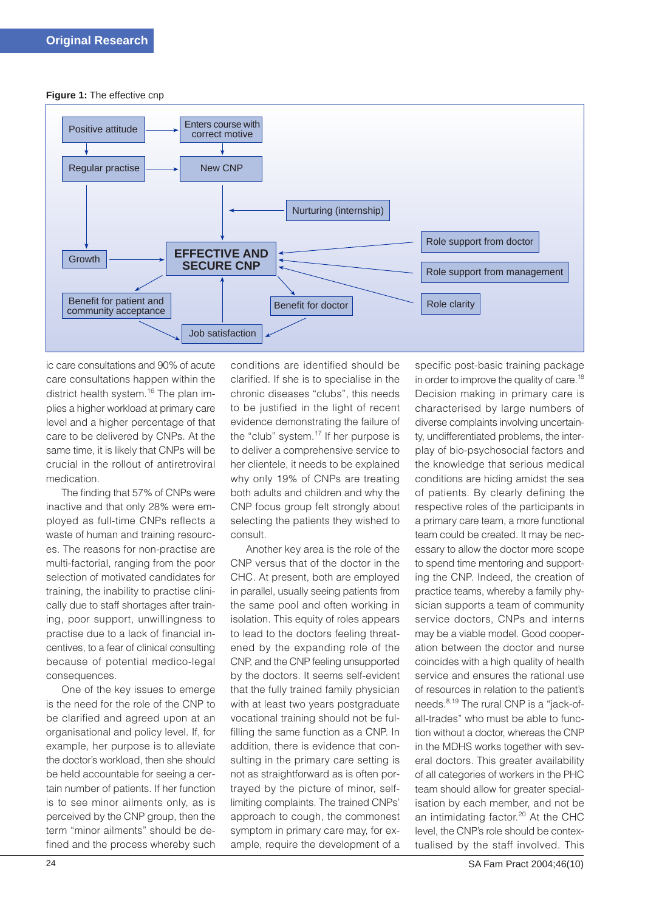**Figure 1:** The effective cnp



ic care consultations and 90% of acute care consultations happen within the district health system.<sup>16</sup> The plan implies a higher workload at primary care level and a higher percentage of that care to be delivered by CNPs. At the same time, it is likely that CNPs will be crucial in the rollout of antiretroviral medication.

The finding that 57% of CNPs were inactive and that only 28% were employed as full-time CNPs reflects a waste of human and training resources. The reasons for non-practise are multi-factorial, ranging from the poor selection of motivated candidates for training, the inability to practise clinically due to staff shortages after training, poor support, unwillingness to practise due to a lack of financial incentives, to a fear of clinical consulting because of potential medico-legal consequences.

One of the key issues to emerge is the need for the role of the CNP to be clarified and agreed upon at an organisational and policy level. If, for example, her purpose is to alleviate the doctor's workload, then she should be held accountable for seeing a certain number of patients. If her function is to see minor ailments only, as is perceived by the CNP group, then the term "minor ailments" should be defined and the process whereby such conditions are identified should be clarified. If she is to specialise in the chronic diseases "clubs", this needs to be justified in the light of recent evidence demonstrating the failure of the "club" system.<sup>17</sup> If her purpose is to deliver a comprehensive service to her clientele, it needs to be explained why only 19% of CNPs are treating both adults and children and why the CNP focus group felt strongly about selecting the patients they wished to consult.

Another key area is the role of the CNP versus that of the doctor in the CHC. At present, both are employed in parallel, usually seeing patients from the same pool and often working in isolation. This equity of roles appears to lead to the doctors feeling threatened by the expanding role of the CNP, and the CNP feeling unsupported by the doctors. It seems self-evident that the fully trained family physician with at least two years postgraduate vocational training should not be fulfilling the same function as a CNP. In addition, there is evidence that consulting in the primary care setting is not as straightforward as is often portrayed by the picture of minor, selflimiting complaints. The trained CNPs' approach to cough, the commonest symptom in primary care may, for example, require the development of a specific post-basic training package in order to improve the quality of care.<sup>18</sup> Decision making in primary care is characterised by large numbers of diverse complaints involving uncertainty, undifferentiated problems, the interplay of bio-psychosocial factors and the knowledge that serious medical conditions are hiding amidst the sea of patients. By clearly defining the respective roles of the participants in a primary care team, a more functional team could be created. It may be necessary to allow the doctor more scope to spend time mentoring and supporting the CNP. Indeed, the creation of practice teams, whereby a family physician supports a team of community service doctors, CNPs and interns may be a viable model. Good cooperation between the doctor and nurse coincides with a high quality of health service and ensures the rational use of resources in relation to the patient's needs.8,19 The rural CNP is a "jack-ofall-trades" who must be able to function without a doctor, whereas the CNP in the MDHS works together with several doctors. This greater availability of all categories of workers in the PHC team should allow for greater specialisation by each member, and not be an intimidating factor.<sup>20</sup> At the CHC level, the CNP's role should be contextualised by the staff involved. This